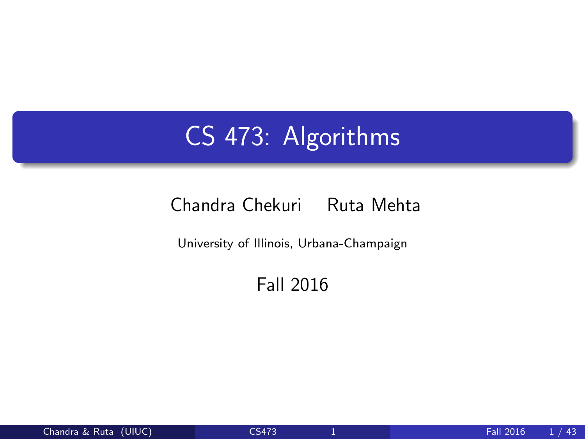## CS 473: Algorithms

#### Chandra Chekuri Ruta Mehta

University of Illinois, Urbana-Champaign

<span id="page-0-0"></span>Fall 2016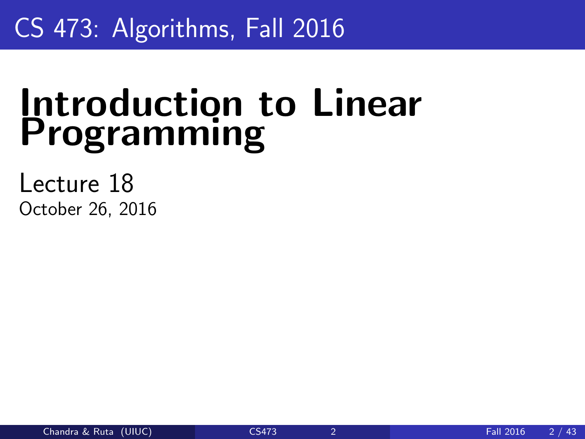## CS 473: Algorithms, Fall 2016

# Introduction to Linear Programming

Lecture 18 October 26, 2016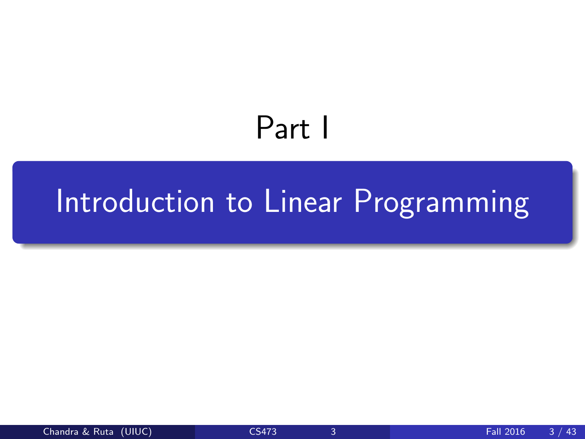# <span id="page-2-0"></span>Part I

# [Introduction to Linear Programming](#page-2-0)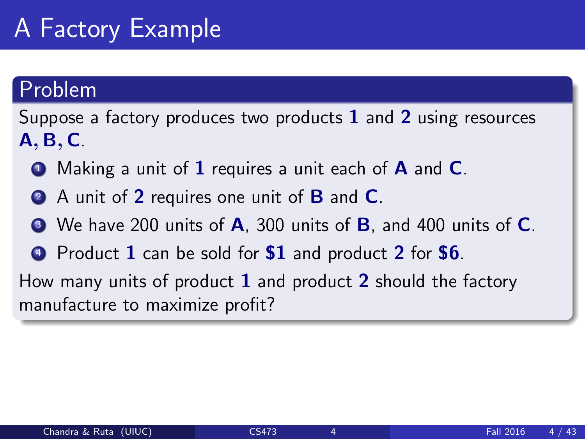### Problem

Suppose a factory produces two products  $1$  and  $2$  using resources A, B, C.

- $\bullet$  Making a unit of 1 requires a unit each of **A** and **C**.
- **2** A unit of 2 requires one unit of **B** and **C**.
- $\bullet$  We have 200 units of **A**, 300 units of **B**, and 400 units of **C**.
- **4** Product 1 can be sold for **\$1** and product 2 for **\$6**.

How many units of product  $1$  and product  $2$  should the factory manufacture to maximize profit?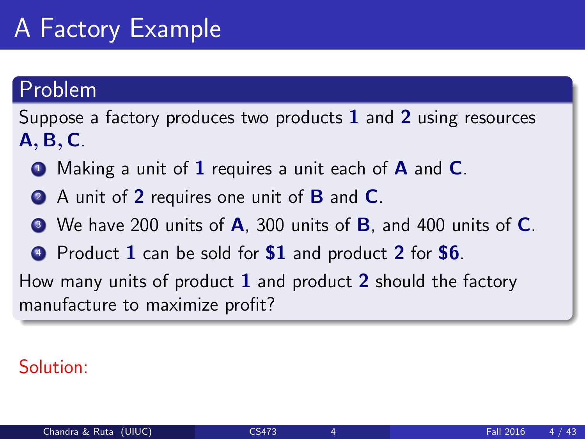### Problem

Suppose a factory produces two products  $1$  and  $2$  using resources A, B, C.

- $\bullet$  Making a unit of 1 requires a unit each of **A** and **C**.
- **2** A unit of 2 requires one unit of **B** and **C**.
- $\bullet$  We have 200 units of **A**, 300 units of **B**, and 400 units of **C**.
- **4** Product 1 can be sold for **\$1** and product 2 for **\$6**.

How many units of product  $1$  and product  $2$  should the factory manufacture to maximize profit?

### Solution: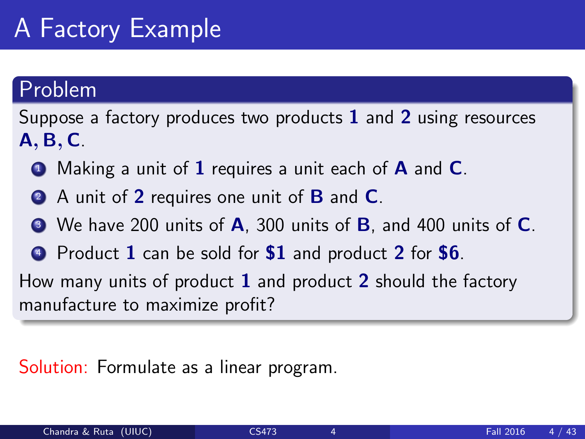### Problem

Suppose a factory produces two products  $1$  and  $2$  using resources A, B, C.

- $\bullet$  Making a unit of 1 requires a unit each of **A** and **C**.
- **2** A unit of 2 requires one unit of **B** and **C**.
- $\bullet$  We have 200 units of **A**, 300 units of **B**, and 400 units of **C**.
- **4** Product 1 can be sold for **\$1** and product 2 for **\$6**.

How many units of product  $1$  and product  $2$  should the factory manufacture to maximize profit?

#### Solution: Formulate as a linear program.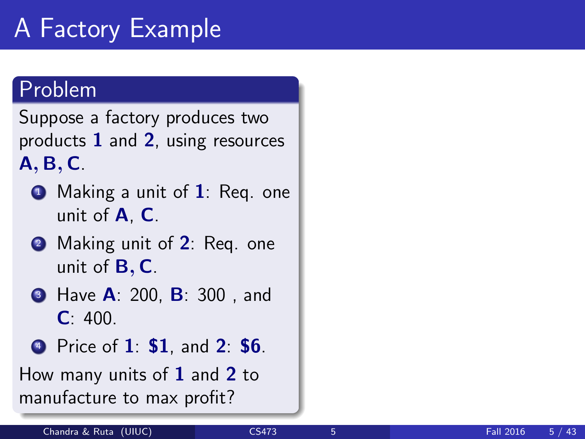### Problem

Suppose a factory produces two products 1 and 2, using resources A, B, C.

- $\bullet$  Making a unit of 1: Req. one unit of A, C.
- **2** Making unit of 2: Req. one unit of  $B, C$ .
- **3** Have **A**: 200, **B**: 300, and  $C: 400.$
- <sup>4</sup> Price of 1: \$1, and 2: \$6.

How many units of  $1$  and  $2$  to manufacture to max profit?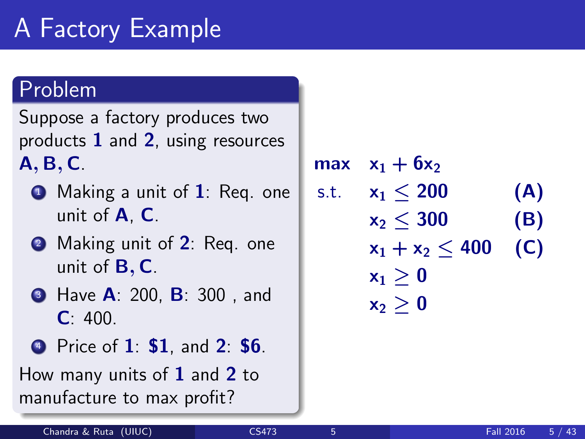### Problem

Suppose a factory produces two products 1 and 2, using resources A, B, C.

- $\bullet$  Making a unit of 1: Req. one unit of A, C.
- **2** Making unit of 2: Req. one unit of  $B, C$ .
- **3** Have **A**: 200, **B**: 300, and  $C: 400.$
- <sup>4</sup> Price of 1: \$1, and 2: \$6.

How many units of  $1$  and  $2$  to manufacture to max profit?

max  $x_1 + 6x_2$ s.t.  $x_1 < 200$  (A)  $x_2 \le 300$  (B)  $x_1 + x_2 < 400$  (C)  $x_1 > 0$  $x_2 > 0$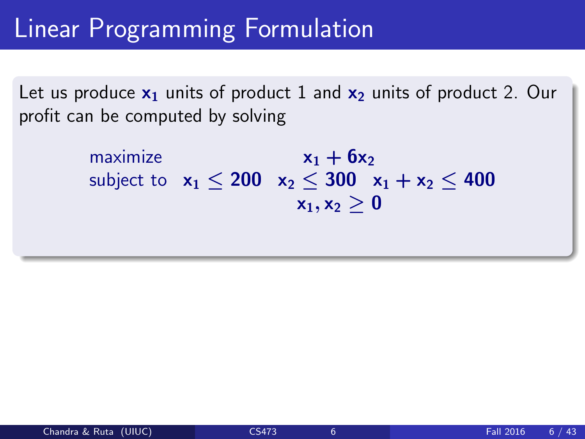## Linear Programming Formulation

Let us produce  $x_1$  units of product 1 and  $x_2$  units of product 2. Our profit can be computed by solving

> maximize  $x_1 + 6x_2$ subject to  $x_1 < 200$   $x_2 < 300$   $x_1 + x_2 < 400$  $x_1, x_2 > 0$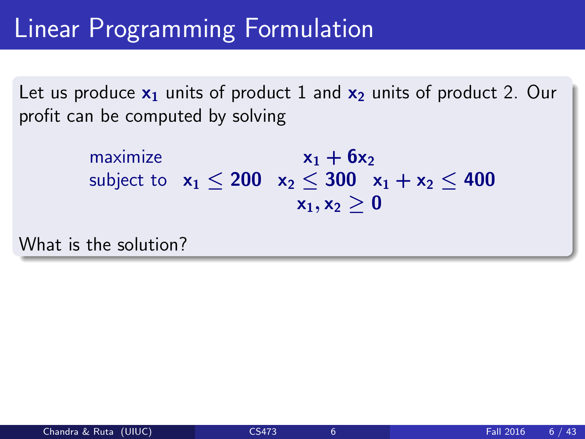## Linear Programming Formulation

Let us produce  $x_1$  units of product 1 and  $x_2$  units of product 2. Our profit can be computed by solving

> maximize  $x_1 + 6x_2$ subject to  $x_1 < 200$   $x_2 < 300$   $x_1 + x_2 < 400$  $x_1, x_2 > 0$

What is the solution?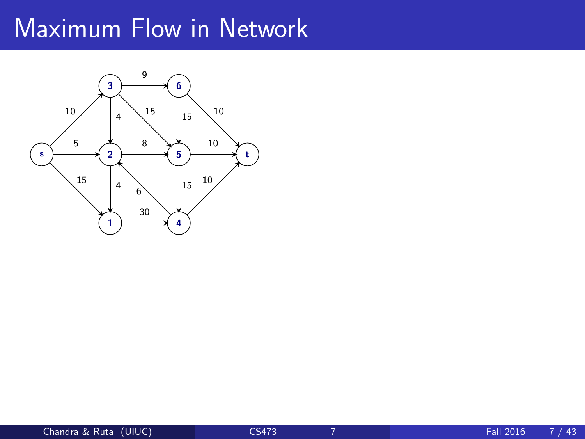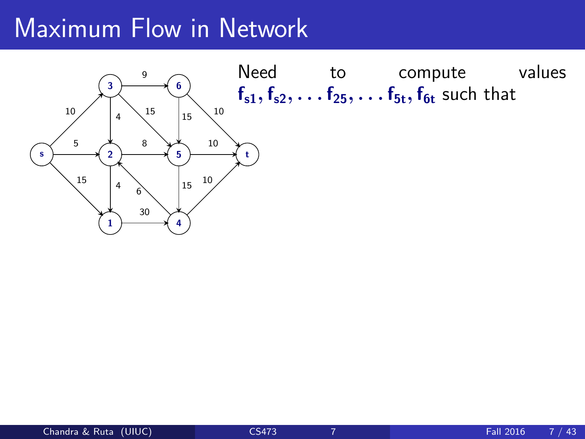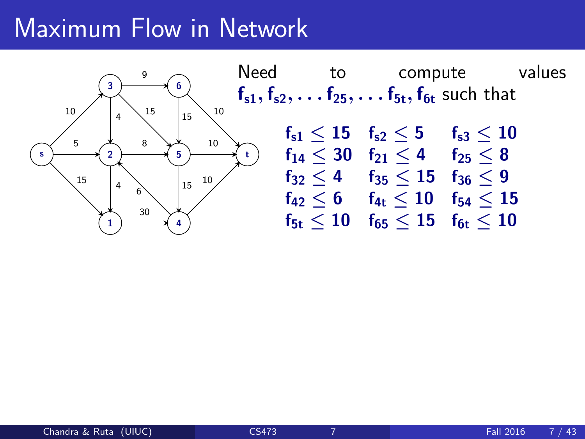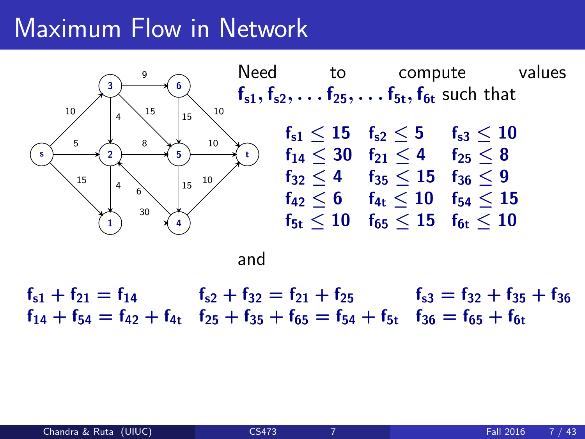

and

 $f_{51} + f_{21} = f_{14}$   $f_{52} + f_{32} = f_{21} + f_{25}$   $f_{53} = f_{32} + f_{35} + f_{36}$  $f_{14} + f_{54} = f_{42} + f_{41}$   $f_{25} + f_{35} + f_{65} = f_{54} + f_{51}$   $f_{36} = f_{65} + f_{61}$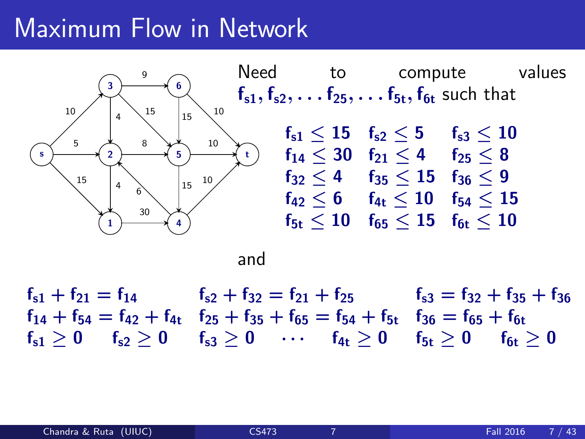

and

 $f_{51} + f_{21} = f_{14}$   $f_{52} + f_{32} = f_{21} + f_{25}$   $f_{53} = f_{32} + f_{35} + f_{36}$  $f_{14} + f_{54} = f_{42} + f_{41}$   $f_{25} + f_{35} + f_{65} = f_{54} + f_{51}$   $f_{36} = f_{65} + f_{61}$  $f_{s1} > 0$   $f_{s2} > 0$   $f_{s3} > 0$   $\cdots$   $f_{4t} > 0$   $f_{5t} > 0$   $f_{6t} > 0$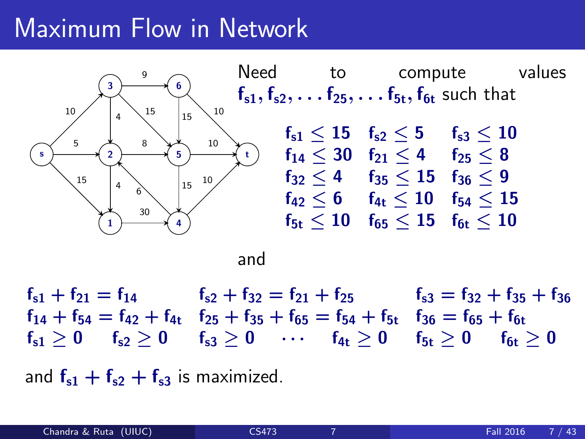

and

 $f_{51} + f_{21} = f_{14}$   $f_{52} + f_{32} = f_{21} + f_{25}$   $f_{53} = f_{32} + f_{35} + f_{36}$  $f_{14} + f_{54} = f_{42} + f_{41}$   $f_{25} + f_{35} + f_{65} = f_{54} + f_{51}$   $f_{36} = f_{65} + f_{61}$  $f_{s1} > 0$   $f_{s2} > 0$   $f_{s3} > 0$   $\cdots$   $f_{4t} > 0$   $f_{5t} > 0$   $f_{6t} > 0$ 

and  $f_{s1} + f_{s2} + f_{s3}$  is maximized.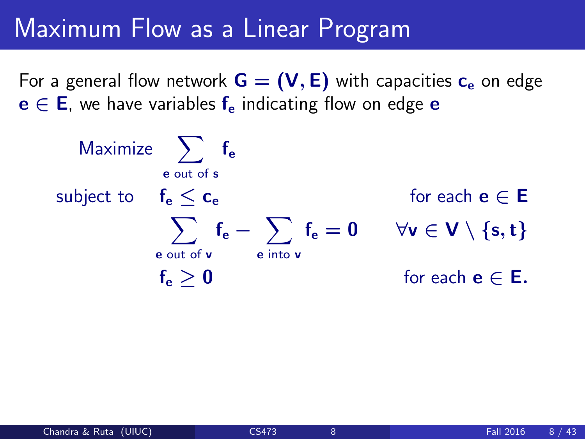### Maximum Flow as a Linear Program

For a general flow network  $G = (V, E)$  with capacities  $c_e$  on edge  $e \in E$ , we have variables  $f_e$  indicating flow on edge e

$$
\begin{array}{llll} \text{Maximize} & \displaystyle\sum_{e \text{ out of } s} f_e \\ \text{subject to} & f_e \leq c_e & \text{for each } e \in E \\ & \displaystyle\sum_{e \text{ out of } v} f_e - \sum_{e \text{ into } v} f_e = 0 & \forall v \in V \setminus \{s, t\} \\ & f_e \geq 0 & \text{for each } e \in E. \end{array}
$$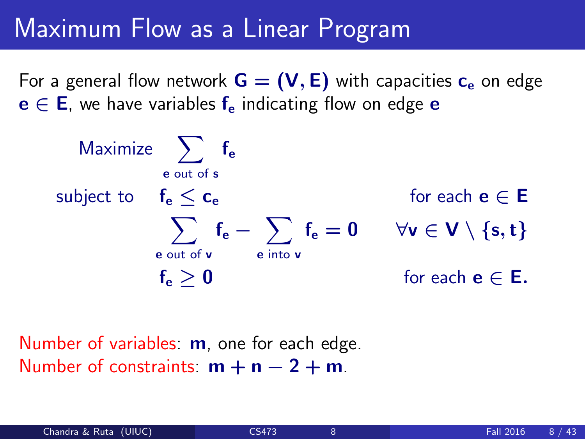### Maximum Flow as a Linear Program

For a general flow network  $G = (V, E)$  with capacities  $c_e$  on edge  $e \in E$ , we have variables  $f_e$  indicating flow on edge e

$$
\begin{array}{llll} \text{Maximize} & \displaystyle\sum_{e \text{ out of } s} f_e \\ \text{subject to} & f_e \leq c_e & \text{for each } e \in E \\ & \displaystyle\sum_{e \text{ out of } v} f_e - \sum_{e \text{ into } v} f_e = 0 & \forall v \in V \setminus \{s, t\} \\ & f_e \geq 0 & \text{for each } e \in E. \end{array}
$$

Number of variables: **m**, one for each edge. Number of constraints:  $m + n - 2 + m$ .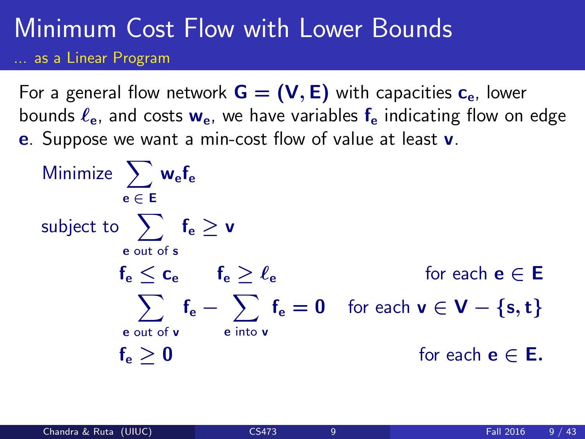### Minimum Cost Flow with Lower Bounds ... as a Linear Program

For a general flow network  $G = (V, E)$  with capacities  $c_{e}$ , lower bounds  $\ell_{\rm e}$ , and costs  $w_{\rm e}$ , we have variables  $f_{\rm e}$  indicating flow on edge e. Suppose we want a min-cost flow of value at least v.

$$
\begin{array}{llll} \text{Minimize} & \displaystyle\sum_{e\;\in\; E} w_e f_e \\ \text{subject to} & \displaystyle\sum_{e\;\text{out of}\;s} f_e \geq v \\ & & \displaystyle f_e \leq c_e \hspace{0.5cm} f_e \geq \ell_e \hspace{1cm} \text{for each}\; e\in E \\ & & \displaystyle\sum_{e\;\text{out of}\; v} f_e - \sum_{e\;\text{into}\; v} f_e = 0 \hspace{0.5cm} \text{for each}\; v\in V-\{s,t\} \\ & & \displaystyle f_e \geq 0 \hspace{1cm} \text{for each}\; e\in E. \end{array}
$$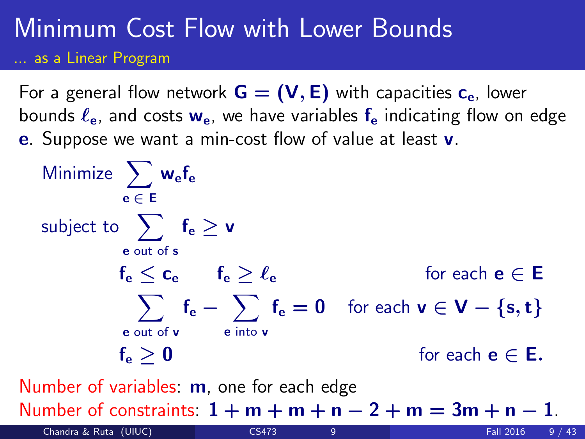### Minimum Cost Flow with Lower Bounds ... as a Linear Program

For a general flow network  $G = (V, E)$  with capacities  $c_{e}$ , lower bounds  $\ell_{\rm e}$ , and costs  $w_{\rm e}$ , we have variables  $f_{\rm e}$  indicating flow on edge e. Suppose we want a min-cost flow of value at least v.

$$
\begin{array}{ll}\text{Minimize} & \sum_{e \in E} w_e f_e\\ \text{subject to} & \sum_{e \text{ out of } s} f_e \geq v\\ & f_e \leq c_e \qquad f_e \geq \ell_e \qquad \qquad \text{for each } e \in E\\ & \sum_{e \text{ out of } v} f_e - \sum_{e \text{ into } v} f_e = 0 \quad \text{for each } v \in V - \{s, t\}\\ & f_e \geq 0 \qquad \qquad \text{for each } e \in E.\\ \text{Number of variables: } \text{m, one for each edge}\end{array}
$$

Number of constraints:  $1 + m + m + n - 2 + m = 3m + n - 1$ .

Chandra & Ruta (UIUC) [CS473](#page-0-0) 9 Fall 2016 9 / 43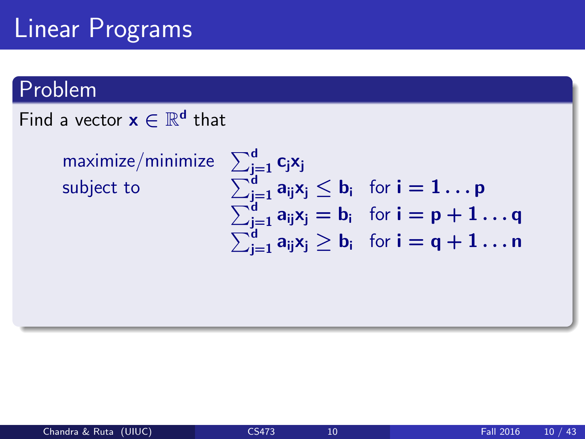## Linear Programs

### Problem

### Find a vector  $\mathbf{x} \in \mathbb{R}^{\mathbf{d}}$  that

 $maximize/min$ subject to

$$
\begin{array}{l}\sum_{j=1}^d c_j x_j\\\sum_{j=1}^d a_{ij} x_j\leq b_i\quad\text{for $i=1\ldots p$}\\ \sum_{j=1}^d a_{ij} x_j=b_i\quad\text{for $i=p+1\ldots q$}\\ \sum_{j=1}^d a_{ij} x_j\geq b_i\quad\text{for $i=q+1\ldots n$}\end{array}
$$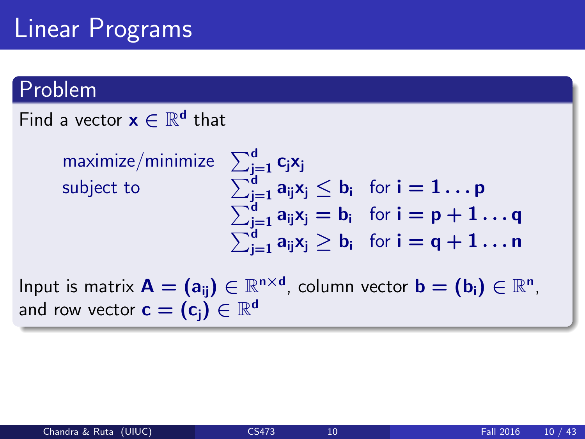## Linear Programs

#### Problem

Find a vector  $\mathbf{x} \in \mathbb{R}^{\mathbf{d}}$  that

 $maximize/min$ subject to

$$
\begin{array}{l}\sum_{j=1}^d c_j x_j\\\sum_{j=1}^d a_{ij} x_j\leq b_i\quad \text{for $i=1\ldots p$}\\ \sum_{j=1}^d a_{ij} x_j=b_i\quad \text{for $i=p+1\ldots q$}\\ \sum_{j=1}^d a_{ij} x_j\geq b_i\quad \text{for $i=q+1\ldots n$}\end{array}
$$

Input is matrix  $\mathbf{A} = (\mathbf{a}_{ij}) \in \mathbb{R}^{n \times d}$ , column vector  $\mathbf{b} = (\mathbf{b}_{i}) \in \mathbb{R}^{n}$ , and row vector  $\mathbf{c}=(\mathbf{c_j})\in\mathbb{R}^{\mathsf{d}}$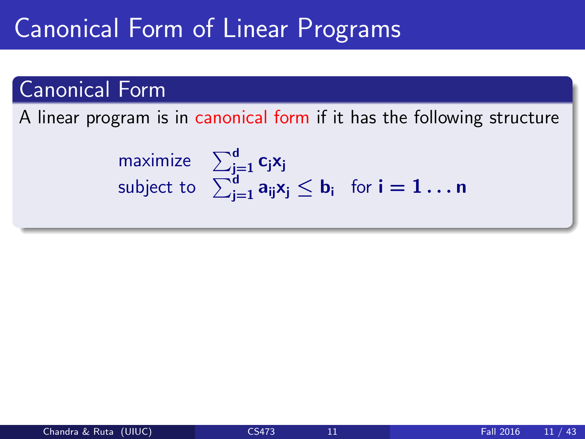### Canonical Form of Linear Programs

### Canonical Form

A linear program is in canonical form if it has the following structure

$$
\begin{array}{ll}\text{maximize} & \sum_{j=1}^d c_j x_j\\ \text{subject to} & \sum_{j=1}^d a_{ij} x_j \leq b_i \quad \text{for } i = 1 \dots n \end{array}
$$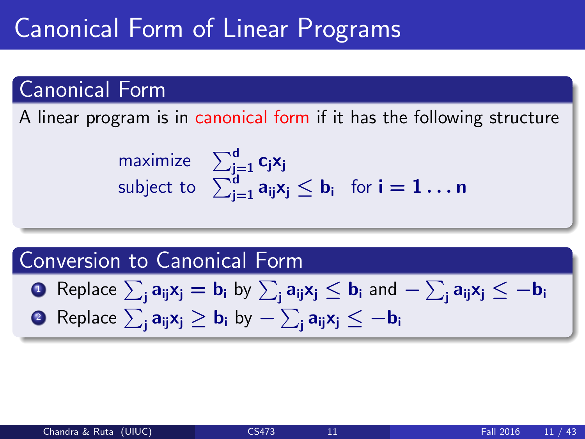### Canonical Form of Linear Programs

### Canonical Form

A linear program is in canonical form if it has the following structure

$$
\begin{array}{ll}\text{maximize} & \sum_{j=1}^d c_j x_j\\ \text{subject to} & \sum_{j=1}^d a_{ij} x_j \leq b_i \quad \text{for } i = 1 \dots n \end{array}
$$

#### Conversion to Canonical Form

- ${\bf D}$  Replace  $\sum_{\bf j} {\bf a}_{\bf ij} {\bf x}_{\bf j} = {\bf b}_{\bf i}$  by  $\sum_{\bf j} {\bf a}_{\bf ij} {\bf x}_{\bf j} \leq {\bf b}_{\bf i}$  and  $-\sum_{\bf j} {\bf a}_{\bf ij} {\bf x}_{\bf j} \leq -{\bf b}_{\bf ij}$
- $\texttt{2} \ \ \text{Replace} \ \sum_\mathbf{j} \mathbf{a}_{\mathbf{ij}} \mathbf{x}_\mathbf{j} \geq \mathbf{b}_{\mathbf{i}} \ \mathsf{by} \sum_\mathbf{j} \mathbf{a}_{\mathbf{ij}} \mathbf{x}_\mathbf{j} \leq -\mathbf{b}_{\mathbf{i}}$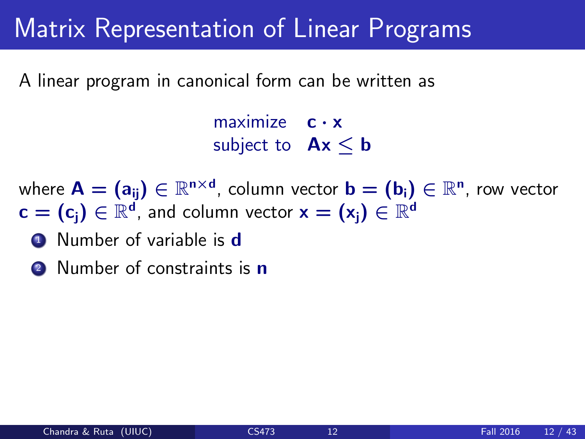### Matrix Representation of Linear Programs

A linear program in canonical form can be written as

maximize  $c \cdot x$ subject to  $Ax < b$ 

where  $\mathsf{A}=(\mathsf{a}_{\mathsf{i}\mathsf{j}})\in\mathbb{R}^{\mathsf{n}\times\mathsf{d}}$ , column vector  $\mathsf{b}=(\mathsf{b}_{\mathsf{i}})\in\mathbb{R}^\mathsf{n}$ , row vector  $\mathbf{c}=(\mathbf{c}_\mathbf{j})\in\mathbb{R}^d$ , and column vector  $\mathbf{x}=(\mathbf{x}_\mathbf{j})\in\mathbb{R}^d$ 

- **1** Number of variable is **d**
- 2 Number of constraints is **n**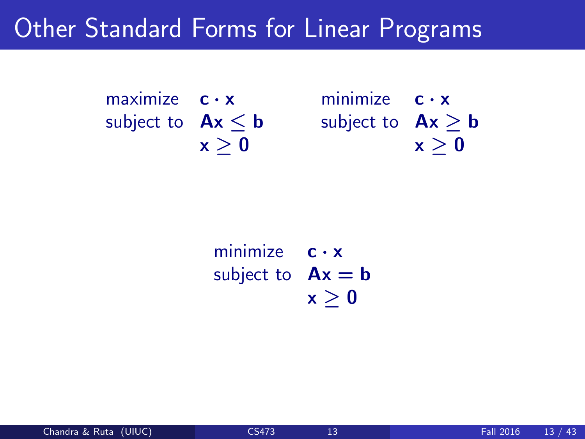### Other Standard Forms for Linear Programs

maximize  $c \cdot x$ subject to  $Ax \leq b$  $x > 0$ 

minimize  $c \cdot x$ subject to  $Ax \ge b$  $x > 0$ 

minimize  $c \cdot x$ subject to  $Ax = b$  $x > 0$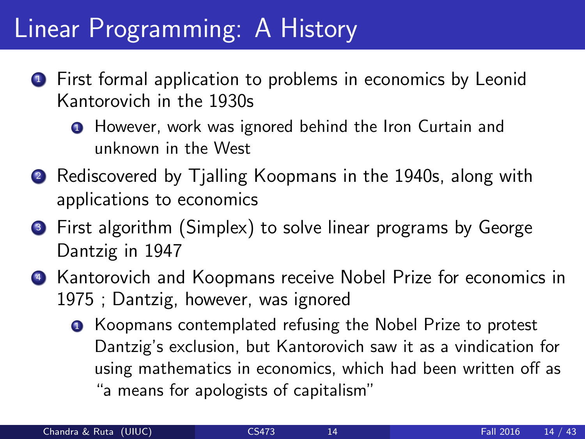## Linear Programming: A History

- **1** First formal application to problems in economics by Leonid Kantorovich in the 1930s
	- **1** However, work was ignored behind the Iron Curtain and unknown in the West
- **2** Rediscovered by Tjalling Koopmans in the 1940s, along with applications to economics
- <sup>3</sup> First algorithm (Simplex) to solve linear programs by George Dantzig in 1947
- **4** Kantorovich and Koopmans receive Nobel Prize for economics in 1975 ; Dantzig, however, was ignored
	- **Koopmans contemplated refusing the Nobel Prize to protest** Dantzig's exclusion, but Kantorovich saw it as a vindication for using mathematics in economics, which had been written off as "a means for apologists of capitalism"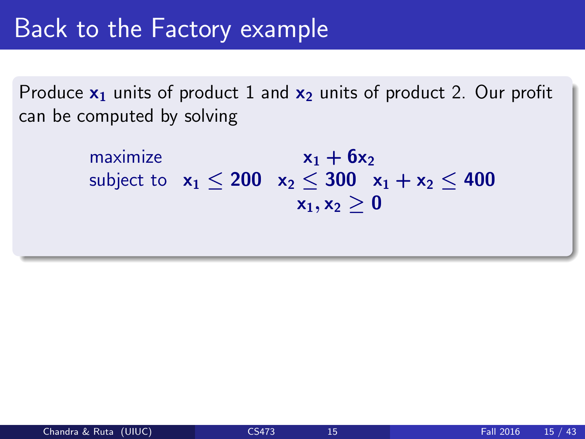Produce  $x_1$  units of product 1 and  $x_2$  units of product 2. Our profit can be computed by solving

> maximize  $x_1 + 6x_2$ subject to  $x_1 < 200$   $x_2 < 300$   $x_1 + x_2 < 400$  $x_1, x_2 > 0$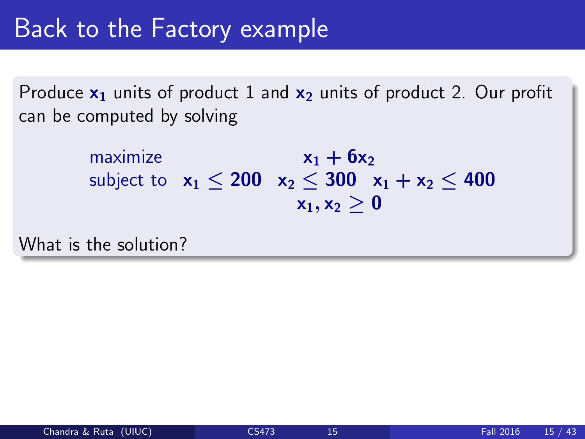Produce  $x_1$  units of product 1 and  $x_2$  units of product 2. Our profit can be computed by solving

> maximize  $x_1 + 6x_2$ subject to  $x_1 < 200$   $x_2 < 300$   $x_1 + x_2 < 400$  $x_1, x_2 > 0$

What is the solution?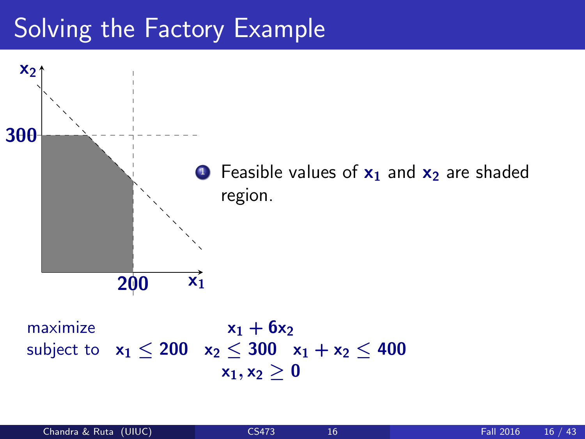## Solving the Factory Example



maximize  $x_1 + 6x_2$ subject to  $x_1 < 200$   $x_2 < 300$   $x_1 + x_2 < 400$  $x_1, x_2 \geq 0$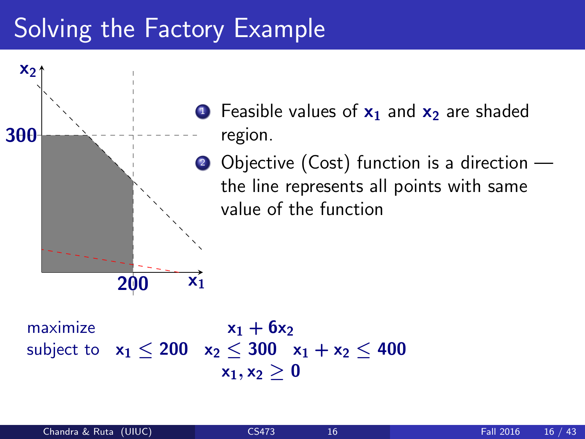## Solving the Factory Example



maximize  $x_1 + 6x_2$ subject to  $x_1 < 200$   $x_2 < 300$   $x_1 + x_2 < 400$  $x_1, x_2 > 0$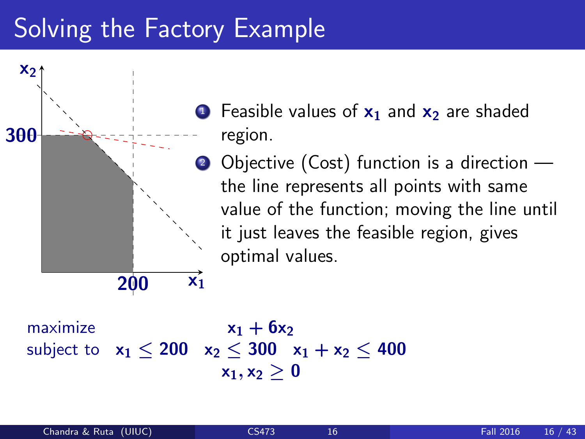## Solving the Factory Example



- **1** Feasible values of  $x_1$  and  $x_2$  are shaded region.
- 2 Objective (Cost) function is a direction the line represents all points with same value of the function; moving the line until it just leaves the feasible region, gives optimal values.

maximize  $x_1 + 6x_2$ subject to  $x_1 < 200$   $x_2 < 300$   $x_1 + x_2 < 400$  $x_1, x_2 > 0$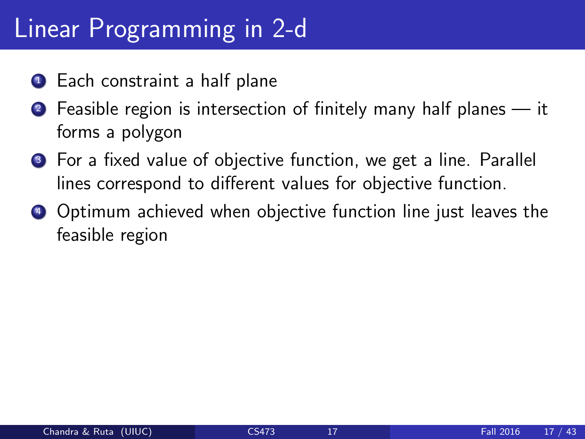## Linear Programming in 2-d

- **1** Each constraint a half plane
- **2** Feasible region is intersection of finitely many half planes it forms a polygon
- <sup>3</sup> For a fixed value of objective function, we get a line. Parallel lines correspond to different values for objective function.
- **4** Optimum achieved when objective function line just leaves the feasible region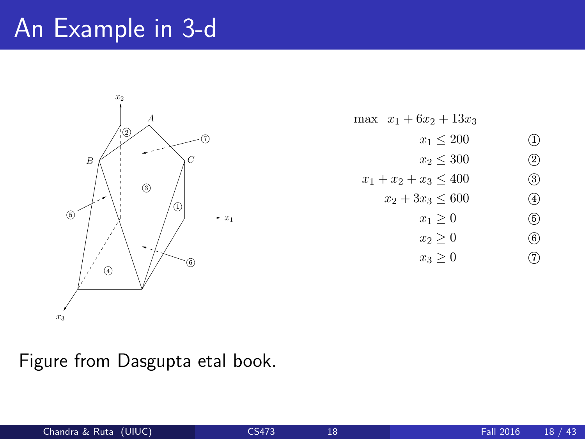## An Example in 3-d $\blacksquare$



max  $x_1 + 6x_2 + 13x_3$  $x_1 \le 200$  (1)<br>  $x_2 \le 300$  (2)<br>  $x_3 \le 400$  (3)  $x_2 \leq 300$  $x_1 + x_2 + x_3 \le 400$  (3)<br> $x_2 + 3x_3 \le 600$  (4)  $x_2 + 3x_3 \le 600$  (4)<br>  $x_1 \ge 0$  (5)<br>  $x_2 \ge 0$  (6)  $x_1 \geq 0$  $x_2 \ge 0$  (6)<br>  $x_3 \ge 0$  (7)  $x_3 \geq 0$ 

Figure from Dasgupta etal book.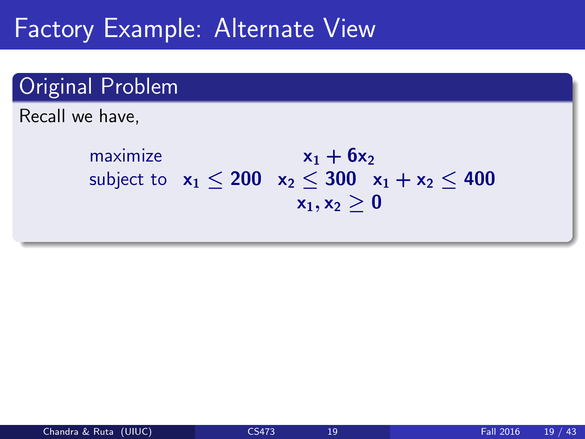### Factory Example: Alternate View

### Original Problem

Recall we have,

maximize  $x_1 + 6x_2$ subject to  $x_1 < 200$   $x_2 < 300$   $x_1 + x_2 < 400$  $x_1, x_2 > 0$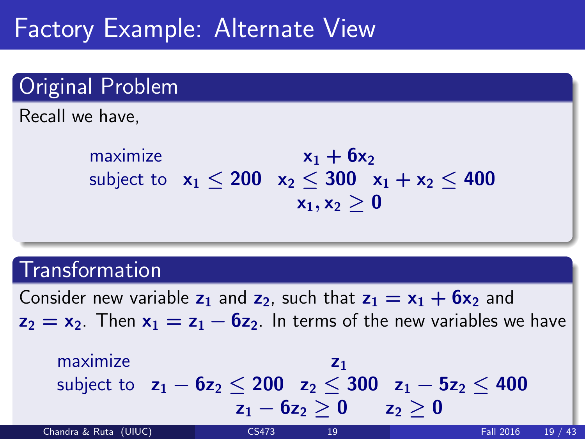### Factory Example: Alternate View

### Original Problem

Recall we have,

maximize  $x_1 + 6x_2$ subject to  $x_1 < 200$   $x_2 < 300$   $x_1 + x_2 < 400$  $x_1, x_2 > 0$ 

### **Transformation**

Consider new variable  $z_1$  and  $z_2$ , such that  $z_1 = x_1 + 6x_2$  and  $z_2 = x_2$ . Then  $x_1 = z_1 - 6z_2$ . In terms of the new variables we have

maximize  $z_1$ subject to  $z_1 - 6z_2 < 200$   $z_2 < 300$   $z_1 - 5z_2 < 400$  $z_1 - 6z_2 > 0$   $z_2 > 0$ Chandra & Ruta (UIUC) [CS473](#page-0-0) 19 Fall 2016 19 / 43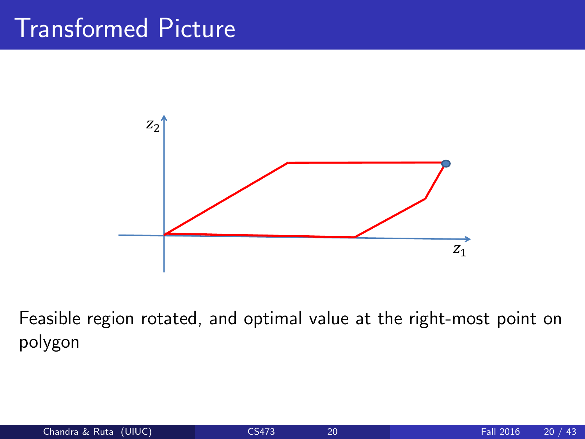# Transformed Picture



Feasible region rotated, and optimal value at the right-most point on polygon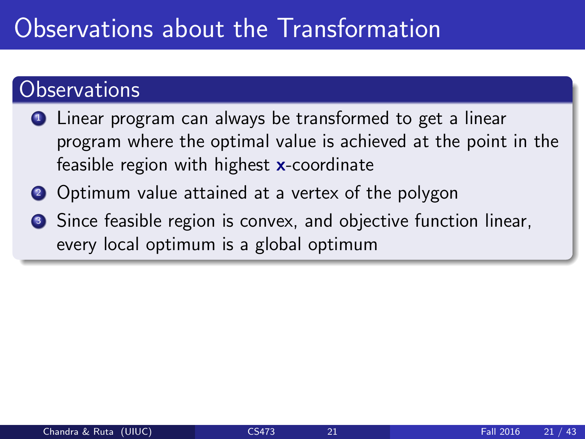# Observations about the Transformation

### Observations

- **1** Linear program can always be transformed to get a linear program where the optimal value is achieved at the point in the feasible region with highest x-coordinate
- 2 Optimum value attained at a vertex of the polygon
- **3** Since feasible region is convex, and objective function linear, every local optimum is a global optimum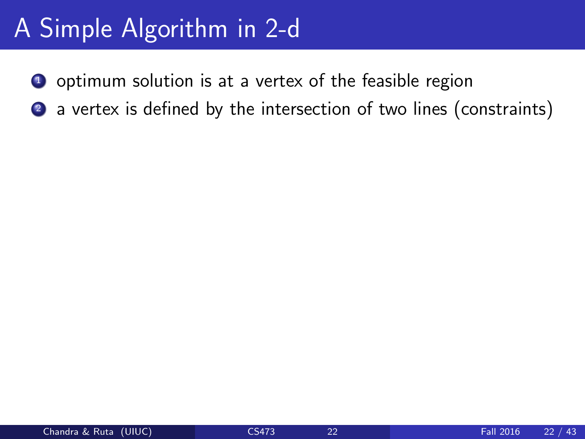# A Simple Algorithm in 2-d

- <sup>1</sup> optimum solution is at a vertex of the feasible region
- 2 a vertex is defined by the intersection of two lines (constraints)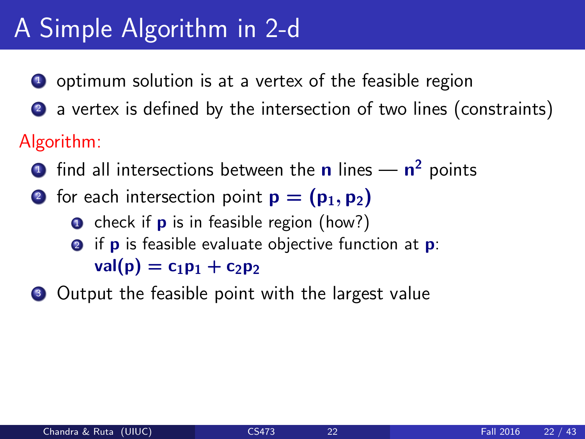# A Simple Algorithm in 2-d

- **1** optimum solution is at a vertex of the feasible region
- 2 a vertex is defined by the intersection of two lines (constraints)

### Algorithm:

- $\mathbf 1$  find all intersections between the  $\mathbf n$  lines  $\mathbf n^2$  points
- 2 for each intersection point  $p = (p_1, p_2)$ 
	- $\bullet$  check if **p** is in feasible region (how?) **2** if **p** is feasible evaluate objective function at **p**:  $val(p) = c_1p_1 + c_2p_2$
- **3** Output the feasible point with the largest value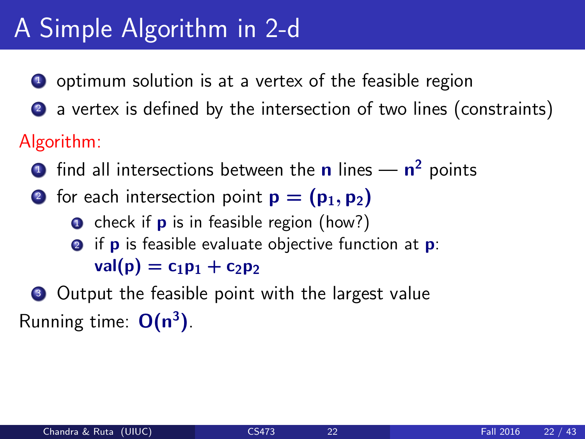# A Simple Algorithm in 2-d

- **1** optimum solution is at a vertex of the feasible region
- 2 a vertex is defined by the intersection of two lines (constraints)

### Algorithm:

- $\mathbf 1$  find all intersections between the  $\mathbf n$  lines  $\mathbf n^2$  points
- 2 for each intersection point  $p = (p_1, p_2)$ 
	- $\bullet$  check if **p** is in feasible region (how?) **2** if **p** is feasible evaluate objective function at **p**:
		- $val(p) = c_1p_1 + c_2p_2$

### **3** Output the feasible point with the largest value Running time:  $O(n^3)$ .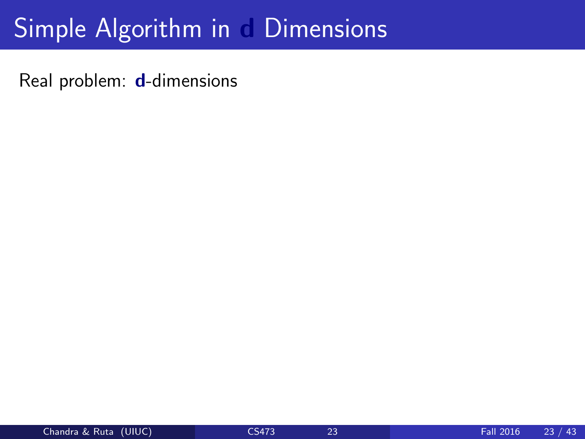# Simple Algorithm in d Dimensions

Real problem: d-dimensions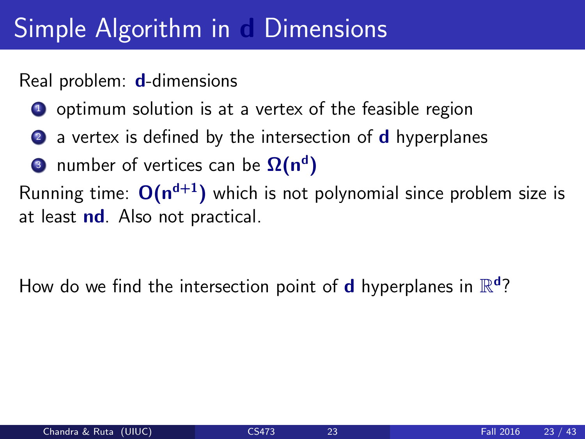# Simple Algorithm in Dimensions

#### Real problem: d-dimensions

- **1** optimum solution is at a vertex of the feasible region
- 2 a vertex is defined by the intersection of **d** hyperplanes
- $\bullet$  number of vertices can be  $\Omega(\mathsf{n}^\mathsf{d})$

Running time:  $O(n^{d+1})$  which is not polynomial since problem size is at least nd. Also not practical.

How do we find the intersection point of **d** hyperplanes in  $\mathbb{R}^d$ ?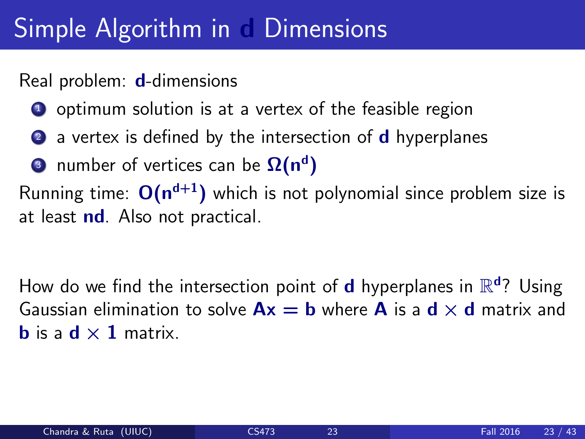# Simple Algorithm in Dimensions

#### Real problem: d-dimensions

- **1** optimum solution is at a vertex of the feasible region
- 2 a vertex is defined by the intersection of **d** hyperplanes
- $\bullet$  number of vertices can be  $\Omega(\mathsf{n}^\mathsf{d})$

Running time:  $O(n^{d+1})$  which is not polynomial since problem size is at least nd. Also not practical.

How do we find the intersection point of **d** hyperplanes in  $\mathbb{R}^d$ ? Using Gaussian elimination to solve  $Ax = b$  where A is a  $d \times d$  matrix and **b** is a  $d \times 1$  matrix.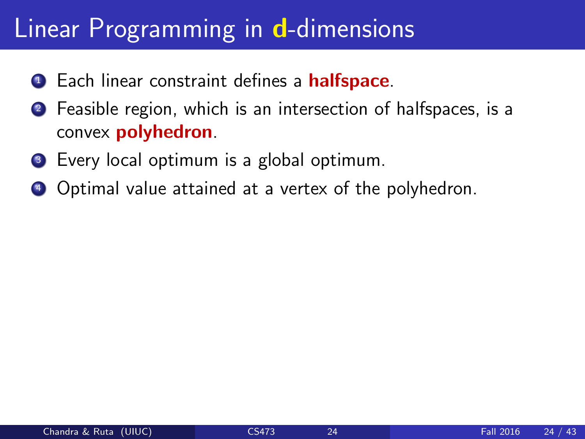# Linear Programming in d-dimensions

- **1** Each linear constraint defines a **halfspace**.
- <sup>2</sup> Feasible region, which is an intersection of halfspaces, is a convex polyhedron.
- **3** Every local optimum is a global optimum.
- <sup>4</sup> Optimal value attained at a vertex of the polyhedron.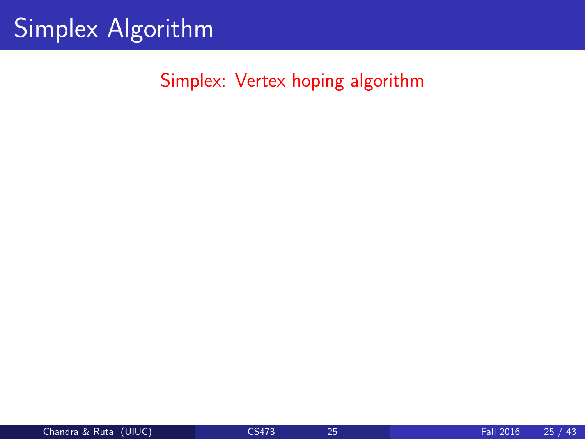# Simplex Algorithm

Simplex: Vertex hoping algorithm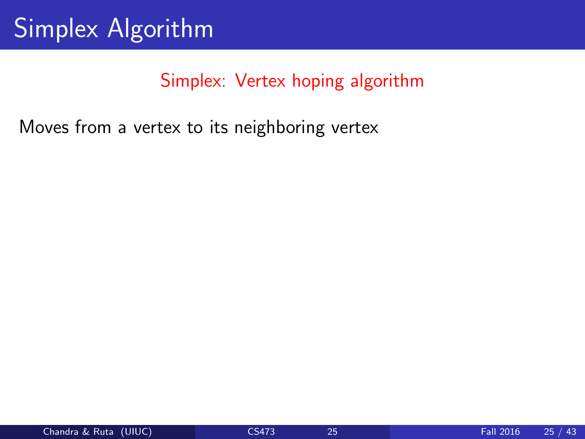Moves from a vertex to its neighboring vertex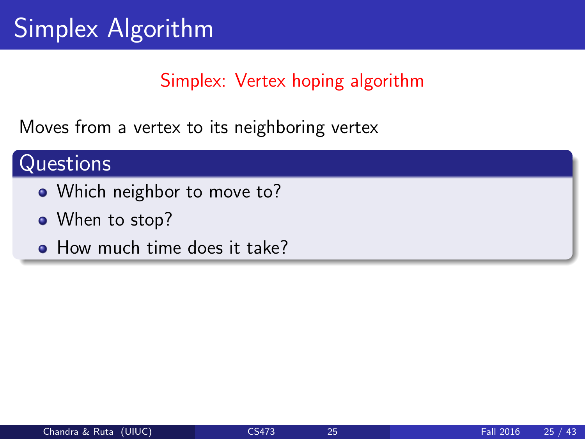Moves from a vertex to its neighboring vertex

### **Questions**

- Which neighbor to move to?
- When to stop?
- How much time does it take?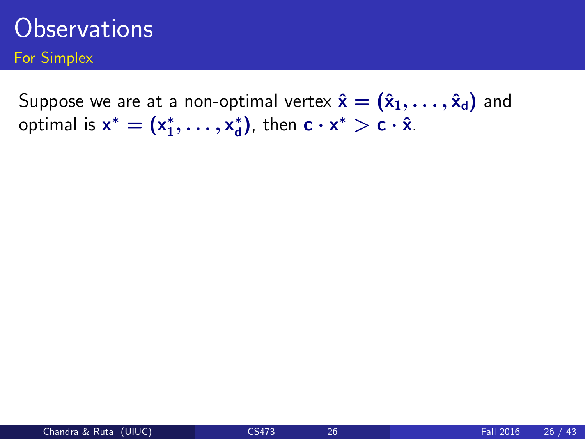Suppose we are at a non-optimal vertex  $\hat{\mathbf{x}} = (\hat{x}_1, \dots, \hat{x}_d)$  and optimal is  $x^* = (x_1^*, \ldots, x_d^*)$  $_{d}^{*}$ ), then **c**  $\cdot$  **x** $^{*}$   $>$  **c**  $\cdot$  **x**̂.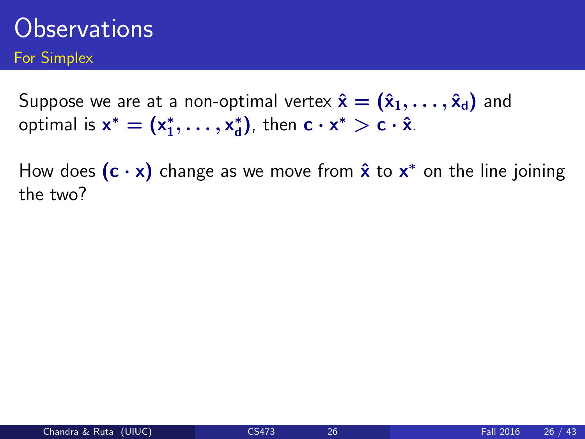Suppose we are at a non-optimal vertex  $\hat{\mathbf{x}} = (\hat{x}_1, \dots, \hat{x}_d)$  and optimal is  $x^* = (x_1^*, \ldots, x_d^*)$  $_{d}^{*}$ ), then **c**  $\cdot$  **x** $^{*}$   $>$  **c**  $\cdot$  **x**̂.

How does  $(c \cdot x)$  change as we move from  $\hat{x}$  to  $x^*$  on the line joining the two?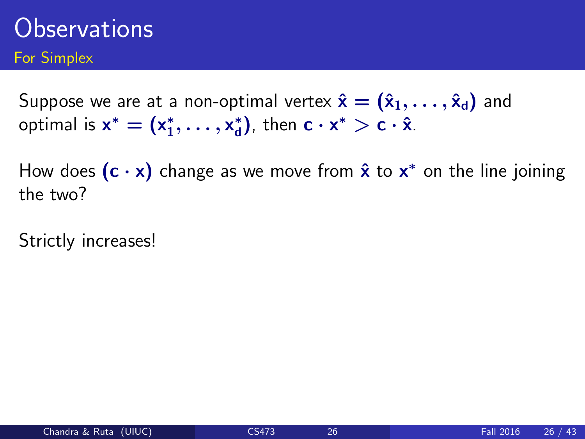Suppose we are at a non-optimal vertex  $\hat{\mathbf{x}} = (\hat{\mathbf{x}}_1, \dots, \hat{\mathbf{x}}_d)$  and optimal is  $x^* = (x_1^*, \ldots, x_d^*)$  $_{d}^{*}$ ), then **c**  $\cdot$  **x** $^{*}$   $>$  **c**  $\cdot$  **x**̂.

How does  $(c \cdot x)$  change as we move from  $\hat{x}$  to  $x^*$  on the line joining the two?

Strictly increases!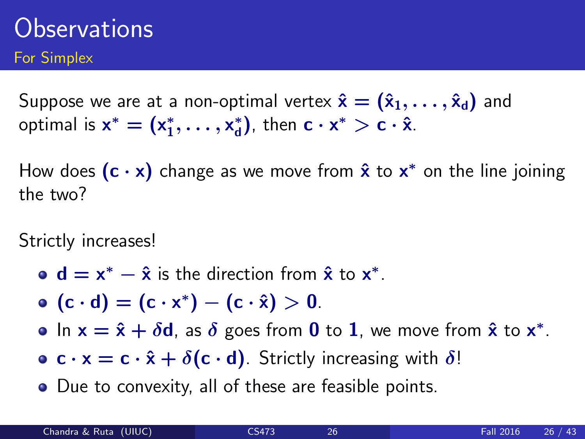Suppose we are at a non-optimal vertex  $\hat{\mathbf{x}} = (\hat{\mathbf{x}}_1, \dots, \hat{\mathbf{x}}_d)$  and optimal is  $x^* = (x_1^*, \ldots, x_d^*)$  $_{d}^{*}$ ), then **c**  $\cdot$  **x** $^{*}$   $>$  **c**  $\cdot$  **x**̂.

How does  $(c \cdot x)$  change as we move from  $\hat{x}$  to  $x^*$  on the line joining the two?

Strictly increases!

- $d = x^* \hat{x}$  is the direction from  $\hat{x}$  to  $x^*$ .
- $(c \cdot d) = (c \cdot x^*) (c \cdot \hat{x}) > 0.$

In  $x = \hat{x} + \delta d$ , as  $\delta$  goes from 0 to 1, we move from  $\hat{x}$  to  $x^*$ .

- **c**  $\mathbf{c} \cdot \mathbf{x} = \mathbf{c} \cdot \hat{\mathbf{x}} + \delta(\mathbf{c} \cdot \mathbf{d})$ . Strictly increasing with  $\delta$ !
- Due to convexity, all of these are feasible points.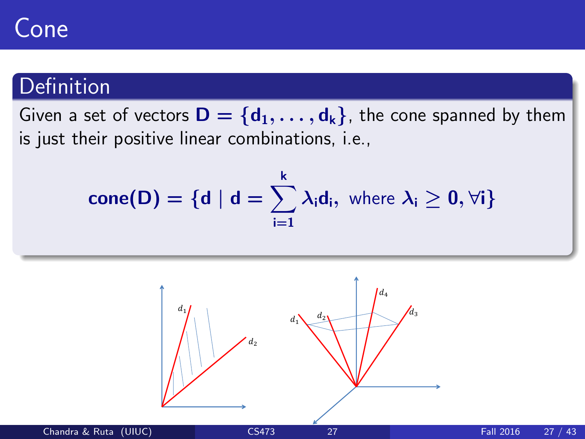# Cone

### **Definition**

Given a set of vectors  $\mathbf{D} = \{d_1, \ldots, d_k\}$ , the cone spanned by them is just their positive linear combinations, i.e.,

$$
cone(D) = \{d \mid d = \sum_{i=1}^{k} \lambda_i d_i, \text{ where } \lambda_i \geq 0, \forall i\}
$$

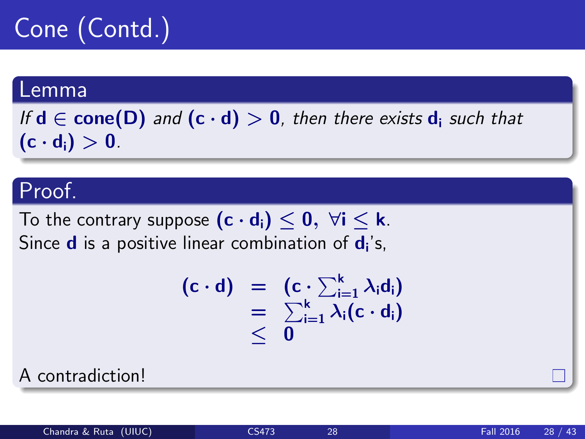# Cone (Contd.)

#### Lemma

If  $d \in \text{cone}(D)$  and  $(c \cdot d) > 0$ , then there exists  $d_i$  such that  $(c \cdot d_i) > 0$ .

### Proof.

To the contrary suppose  $(c \cdot d_i) \leq 0$ ,  $\forall i \leq k$ . Since  $\mathbf d$  is a positive linear combination of  $\mathbf d_{\mathbf i}$ 's,

$$
\begin{array}{rcl}\n(c \cdot d) & = & (c \cdot \sum_{i=1}^{k} \lambda_i d_i) \\
& = & \sum_{i=1}^{k} \lambda_i (c \cdot d_i) \\
& \leq & 0\n\end{array}
$$

A contradiction!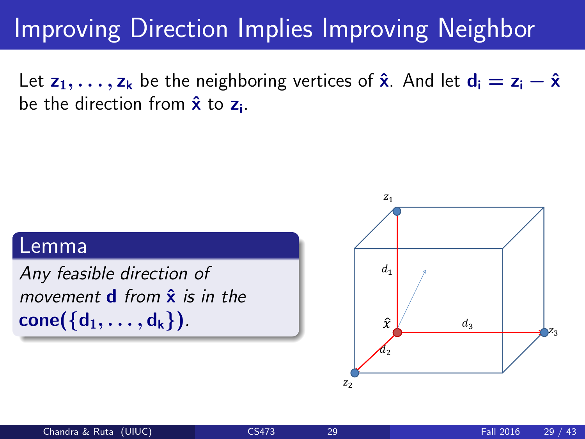# Improving Direction Implies Improving Neighbor

Let  $z_1, \ldots, z_k$  be the neighboring vertices of  $\hat{x}$ . And let  $d_i = z_i - \hat{x}$ be the direction from  $\hat{\mathbf{x}}$  to  $\mathbf{z}_{\mathsf{i}}$ .

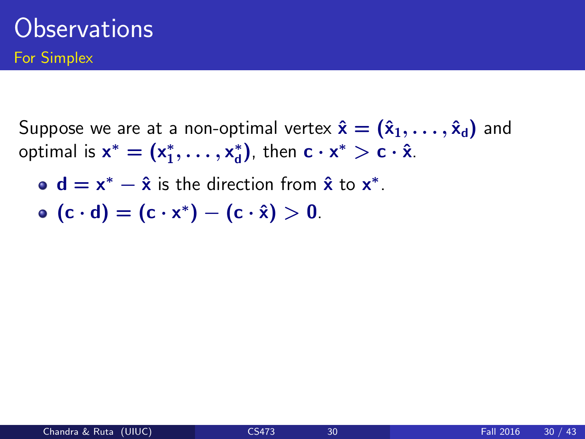Suppose we are at a non-optimal vertex  $\hat{\mathbf{x}} = (\hat{\mathbf{x}}_1, \dots, \hat{\mathbf{x}}_d)$  and optimal is  $x^* = (x_1^*, \ldots, x_d^*)$  $_{d}^{*}$ ), then **c**  $\cdot$  **x** $^{*}$   $>$  **c**  $\cdot$  **x**̂.

 $d = x^* - \hat{x}$  is the direction from  $\hat{x}$  to  $x^*$ .

 $(c \cdot d) = (c \cdot x^*) - (c \cdot \hat{x}) > 0.$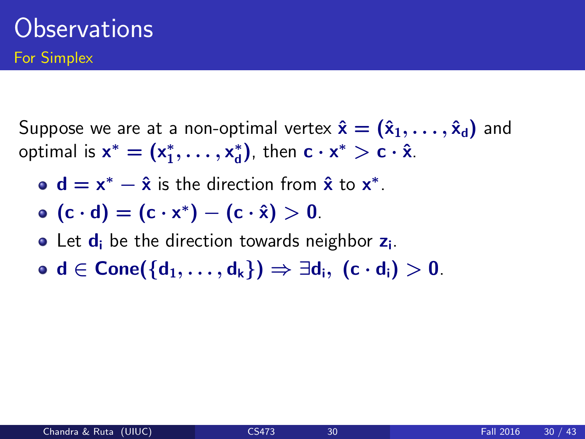Suppose we are at a non-optimal vertex  $\hat{\mathbf{x}} = (\hat{\mathbf{x}}_1, \dots, \hat{\mathbf{x}}_d)$  and optimal is  $x^* = (x_1^*, \ldots, x_d^*)$  $_{d}^{*}$ ), then **c**  $\cdot$  **x** $^{*}$   $>$  **c**  $\cdot$  **x**̂.

- $d = x^* \hat{x}$  is the direction from  $\hat{x}$  to  $x^*$ .
- $(c \cdot d) = (c \cdot x^*) (c \cdot \hat{x}) > 0.$
- Let  $\mathbf{d}_{\mathbf{i}}$  be the direction towards neighbor  $\mathbf{z}_{\mathbf{i}}$ .
- $\bullet$  d ∈ Cone({d<sub>1</sub>, ..., d<sub>k</sub>})  $\Rightarrow$  ∃d<sub>i</sub>, (c · d<sub>i</sub>) > 0.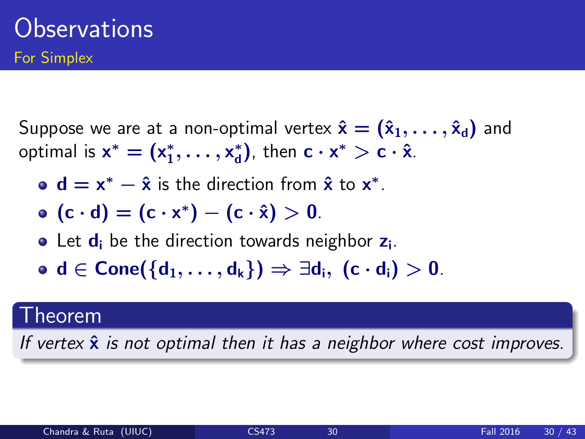Suppose we are at a non-optimal vertex  $\hat{\mathbf{x}} = (\hat{\mathbf{x}}_1, \dots, \hat{\mathbf{x}}_d)$  and optimal is  $x^* = (x_1^*, \ldots, x_d^*)$  $_{d}^{*}$ ), then **c**  $\cdot$  **x** $^{*}$   $>$  **c**  $\cdot$  **x**̂.

- $d = x^* \hat{x}$  is the direction from  $\hat{x}$  to  $x^*$ .
- $(c \cdot d) = (c \cdot x^*) (c \cdot \hat{x}) > 0.$
- Let  $\mathbf{d}_{\mathbf{i}}$  be the direction towards neighbor  $\mathbf{z}_{\mathbf{i}}$ .
- $\bullet$  d ∈ Cone({d<sub>1</sub>, ..., d<sub>k</sub>})  $\Rightarrow$  ∃d<sub>i</sub>, (c · d<sub>i</sub>) > 0.

#### Theorem

If vertex  $\hat{x}$  is not optimal then it has a neighbor where cost improves.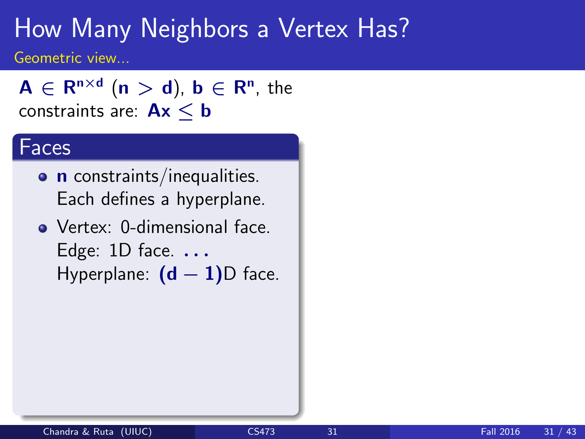$A \in \mathsf{R}^{\mathsf{n} \times \mathsf{d}}$   $(\mathsf{n} > \mathsf{d}), \, \mathsf{b} \in \mathsf{R}^\mathsf{n}, \, \mathsf{the}$ constraints are:  $Ax < b$ 

#### Faces

- **n** constraints/inequalities. Each defines a hyperplane.
- Vertex: 0-dimensional face. Edge:  $1D$  face.  $\ldots$ Hyperplane:  $(d - 1)D$  face.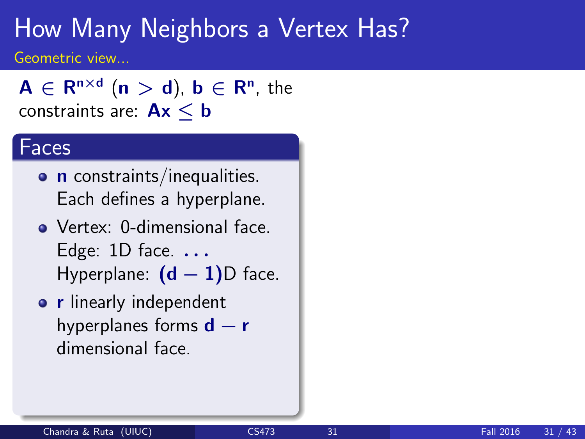$A \in \mathsf{R}^{\mathsf{n} \times \mathsf{d}}$   $(\mathsf{n} > \mathsf{d}), \, \mathsf{b} \in \mathsf{R}^\mathsf{n}, \, \mathsf{the}$ constraints are:  $Ax \le b$ 

#### Faces

- **o n** constraints/inequalities. Each defines a hyperplane.
- Vertex: 0-dimensional face. Edge:  $1D$  face.  $\ldots$ Hyperplane:  $(d - 1)D$  face.
- **o r** linearly independent hyperplanes forms  $d - r$ dimensional face.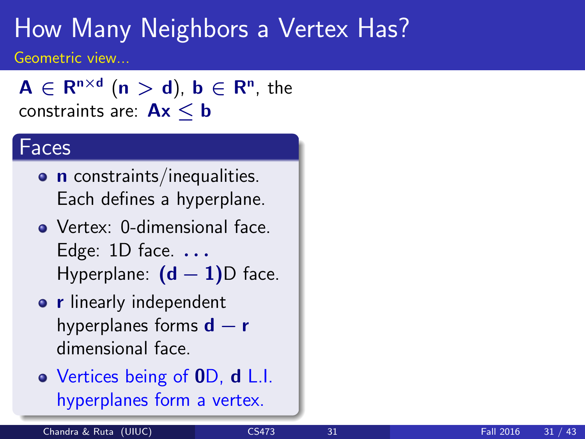$A \in \mathsf{R}^{\mathsf{n} \times \mathsf{d}}$   $(\mathsf{n} > \mathsf{d}), \, \mathsf{b} \in \mathsf{R}^\mathsf{n}, \, \mathsf{the}$ constraints are:  $Ax < b$ 

#### Faces

- **o n** constraints/inequalities. Each defines a hyperplane.
- Vertex: 0-dimensional face. Edge:  $1D$  face.  $\ldots$ Hyperplane:  $(d - 1)D$  face.
- **o r** linearly independent hyperplanes forms  $d - r$ dimensional face.
- Vertices being of 0D, d L.I. hyperplanes form a vertex.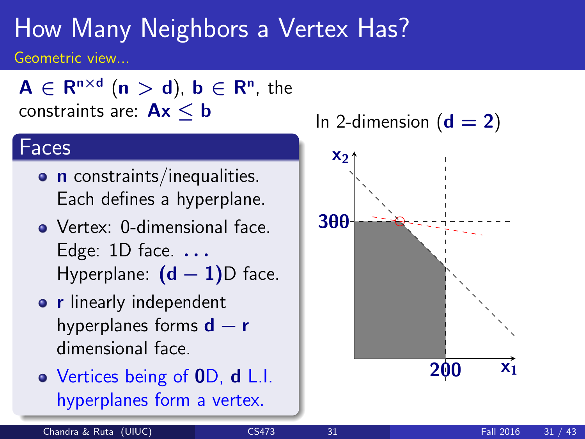$A \in \mathsf{R}^{\mathsf{n} \times \mathsf{d}}$   $(\mathsf{n} > \mathsf{d}), \, \mathsf{b} \in \mathsf{R}^\mathsf{n}, \, \mathsf{the}$ constraints are:  $Ax < b$ 

#### Faces

- **n** constraints/inequalities. Each defines a hyperplane.
- Vertex: 0-dimensional face. Edge:  $1D$  face.  $\ldots$ Hyperplane:  $(d - 1)D$  face.
- **•** r linearly independent hyperplanes forms  $d - r$ dimensional face.
- Vertices being of 0D, d L.I. hyperplanes form a vertex.

In 2-dimension  $(d = 2)$ 

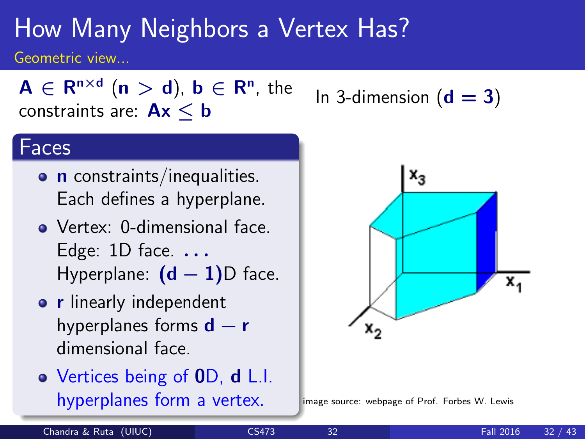$A \in \mathsf{R}^{\mathsf{n} \times \mathsf{d}}$   $(\mathsf{n} > \mathsf{d}), \, \mathsf{b} \in \mathsf{R}^\mathsf{n}, \, \mathsf{the}$ constraints are:  $Ax < b$ 

#### Faces

- **n** constraints/inequalities. Each defines a hyperplane.
- Vertex: 0-dimensional face. Edge:  $1D$  face.  $\ldots$ Hyperplane:  $(d - 1)D$  face.
- **•** r linearly independent hyperplanes forms  $d - r$ dimensional face.
- Vertices being of 0D, d L.I. hyperplanes form a vertex.

In 3-dimension  $(d = 3)$ 



image source: webpage of Prof. Forbes W. Lewis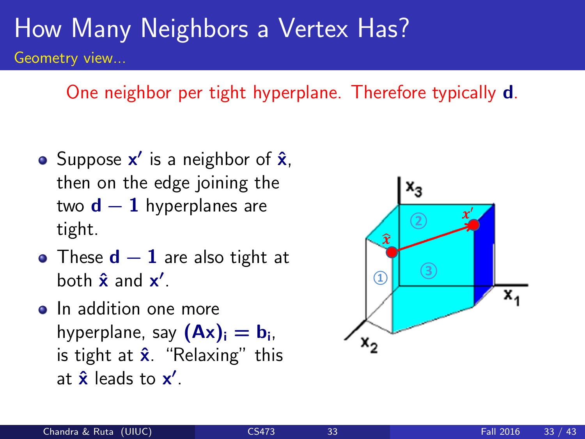One neighbor per tight hyperplane. Therefore typically d.

- Suppose  $x'$  is a neighbor of  $\hat{x}$ , then on the edge joining the two  $d-1$  hyperplanes are tight.
- These  $d-1$  are also tight at both  $\hat{\mathbf{x}}$  and  $\mathbf{x}'$ .
- In addition one more hyperplane, say  $(Ax)_i = b_i$ , is tight at  $\hat{\mathbf{x}}$ . "Relaxing" this at  $\hat{\mathbf{x}}$  leads to  $\mathbf{x}'$ .

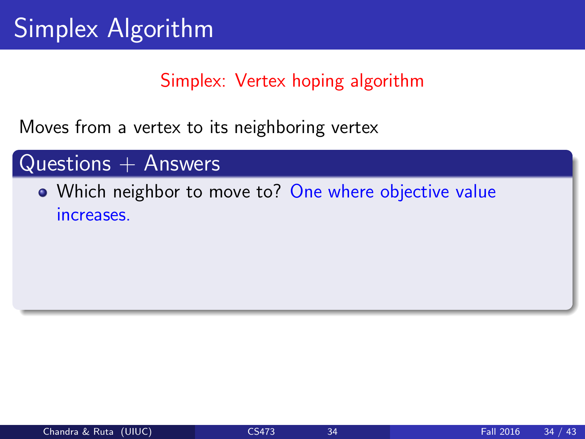Moves from a vertex to its neighboring vertex

#### $Questions + Answers$

### • Which neighbor to move to? One where objective value increases.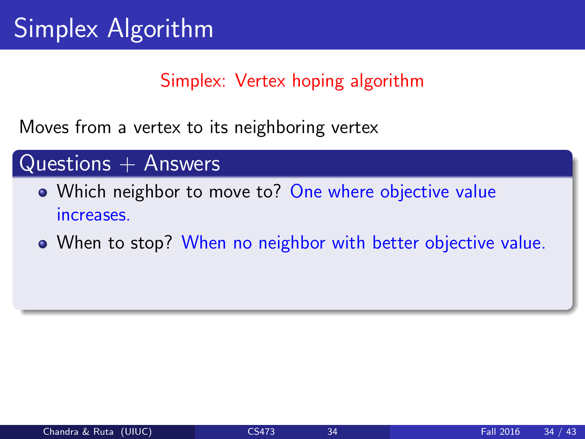Moves from a vertex to its neighboring vertex

#### Questions  $+$  Answers

- Which neighbor to move to? One where objective value increases.
- When to stop? When no neighbor with better objective value.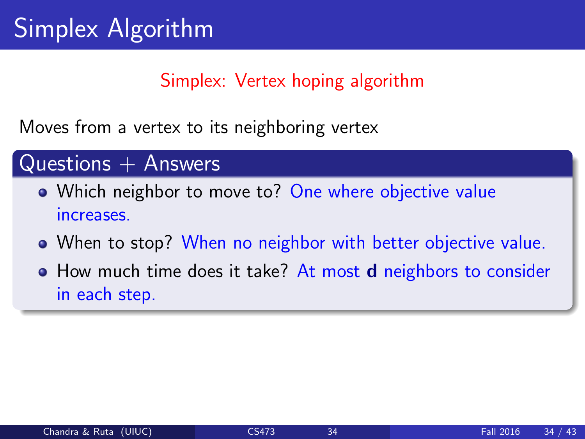Moves from a vertex to its neighboring vertex

#### $Questions + Answers$

- Which neighbor to move to? One where objective value increases.
- When to stop? When no neighbor with better objective value.
- How much time does it take? At most **d** neighbors to consider in each step.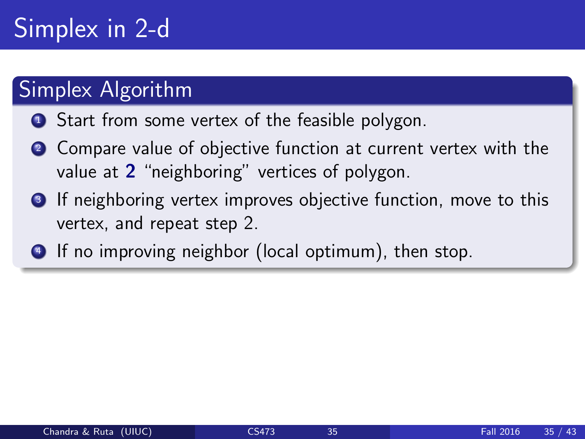# Simplex in 2-d

### Simplex Algorithm

- **1** Start from some vertex of the feasible polygon.
- 2 Compare value of objective function at current vertex with the value at 2 "neighboring" vertices of polygon.
- **3** If neighboring vertex improves objective function, move to this vertex, and repeat step 2.
- <sup>4</sup> If no improving neighbor (local optimum), then stop.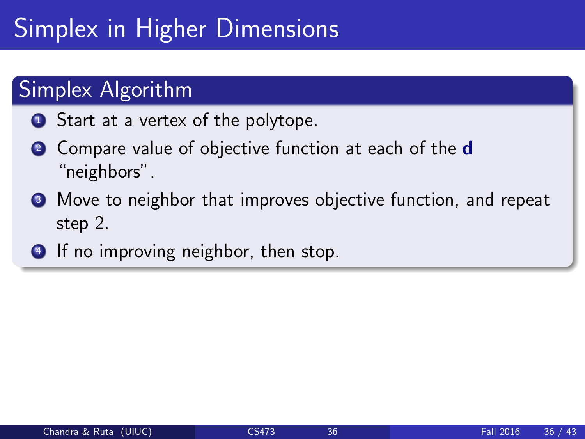# Simplex in Higher Dimensions

### **Simplex Algorithm**

- **1** Start at a vertex of the polytope.
- <sup>2</sup> Compare value of objective function at each of the **d** "neighbors".
- **3** Move to neighbor that improves objective function, and repeat step 2.
- <sup>4</sup> If no improving neighbor, then stop.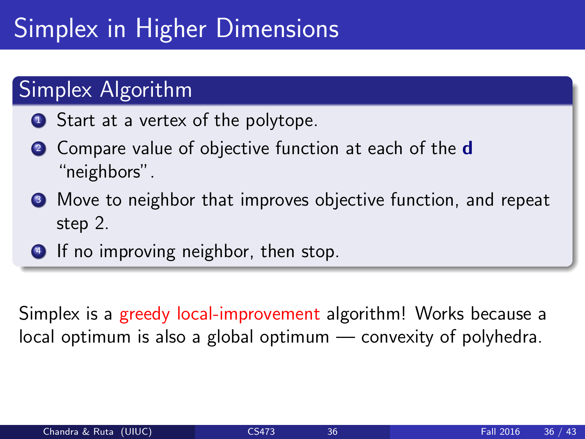# Simplex in Higher Dimensions

### **Simplex Algorithm**

- **1** Start at a vertex of the polytope.
- <sup>2</sup> Compare value of objective function at each of the **d** "neighbors".
- **3** Move to neighbor that improves objective function, and repeat step 2.
- **4** If no improving neighbor, then stop.

Simplex is a greedy local-improvement algorithm! Works because a local optimum is also a global optimum — convexity of polyhedra.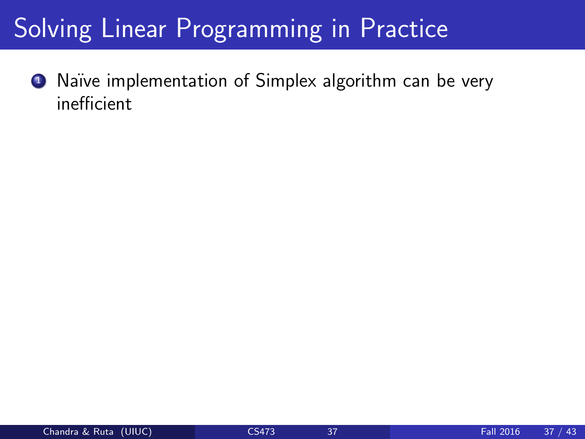# Solving Linear Programming in Practice

**1** Naïve implementation of Simplex algorithm can be very inefficient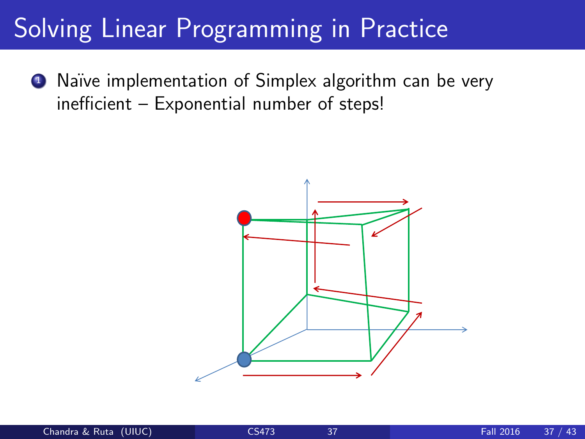# Solving Linear Programming in Practice

■ Naïve implementation of Simplex algorithm can be very inefficient – Exponential number of steps!

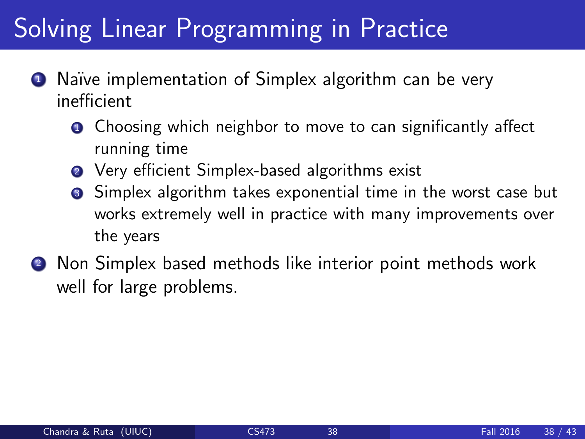### Solving Linear Programming in Practice

- Naïve implementation of Simplex algorithm can be very inefficient
	- **O** Choosing which neighbor to move to can significantly affect running time
	- **2** Very efficient Simplex-based algorithms exist
	- **3** Simplex algorithm takes exponential time in the worst case but works extremely well in practice with many improvements over the years
- <sup>2</sup> Non Simplex based methods like interior point methods work well for large problems.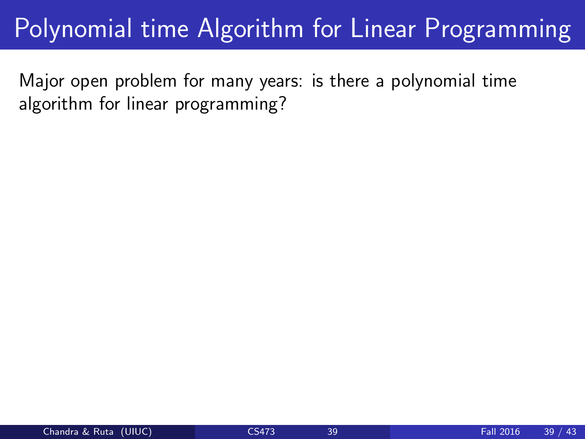Major open problem for many years: is there a polynomial time algorithm for linear programming?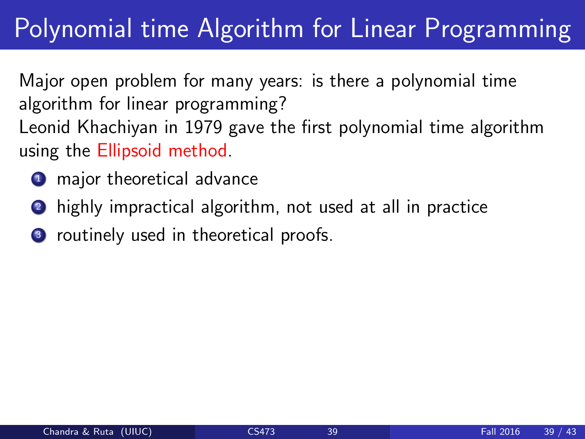Major open problem for many years: is there a polynomial time algorithm for linear programming? Leonid Khachiyan in 1979 gave the first polynomial time algorithm using the Ellipsoid method.

- **1** major theoretical advance
- <sup>2</sup> highly impractical algorithm, not used at all in practice
- <sup>3</sup> routinely used in theoretical proofs.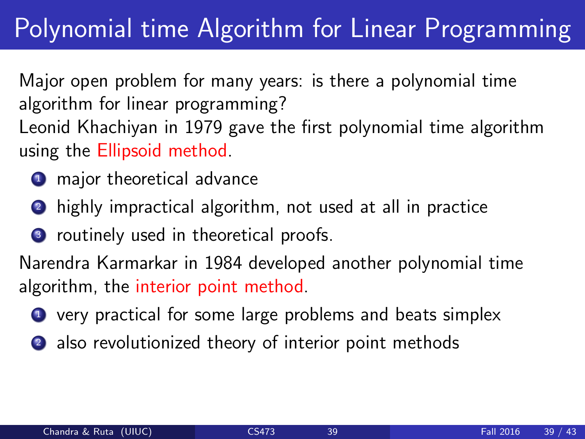Major open problem for many years: is there a polynomial time algorithm for linear programming? Leonid Khachiyan in 1979 gave the first polynomial time algorithm using the Ellipsoid method.

- **1** major theoretical advance
- <sup>2</sup> highly impractical algorithm, not used at all in practice
- <sup>3</sup> routinely used in theoretical proofs.

Narendra Karmarkar in 1984 developed another polynomial time algorithm, the interior point method.

- **1** very practical for some large problems and beats simplex
- 2 also revolutionized theory of interior point methods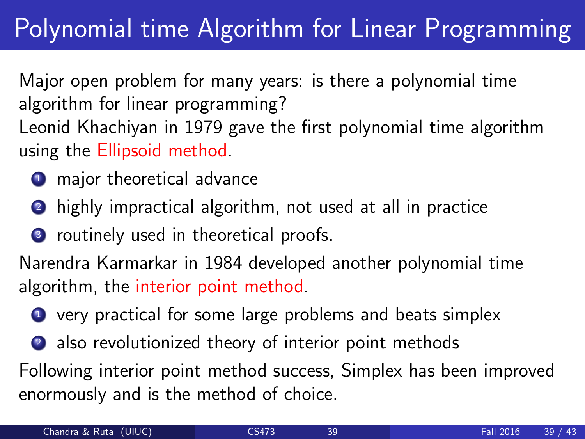Major open problem for many years: is there a polynomial time algorithm for linear programming? Leonid Khachiyan in 1979 gave the first polynomial time algorithm using the Ellipsoid method.

- **1** major theoretical advance
- <sup>2</sup> highly impractical algorithm, not used at all in practice
- <sup>3</sup> routinely used in theoretical proofs.

Narendra Karmarkar in 1984 developed another polynomial time algorithm, the interior point method.

- **1** very practical for some large problems and beats simplex
- 2 also revolutionized theory of interior point methods

Following interior point method success, Simplex has been improved enormously and is the method of choice.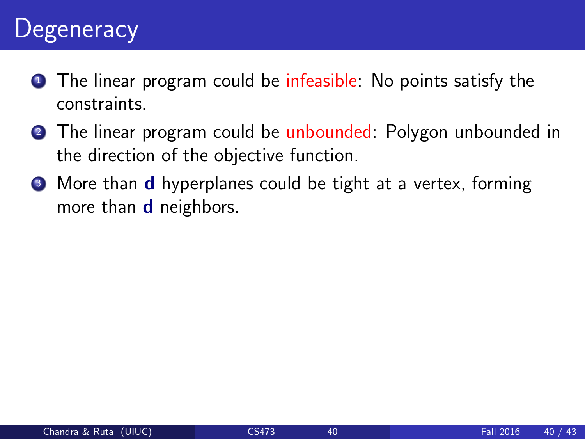### **Degeneracy**

- **1** The linear program could be infeasible: No points satisfy the constraints.
- **2** The linear program could be unbounded: Polygon unbounded in the direction of the objective function.
- **3** More than **d** hyperplanes could be tight at a vertex, forming more than **d** neighbors.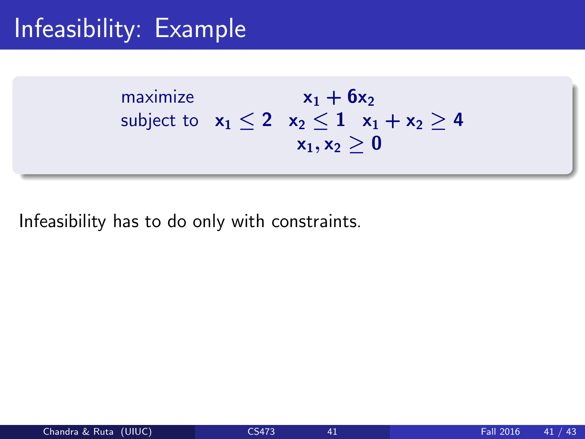# Infeasibility: Example

maximize  $x_1 + 6x_2$ subject to  $x_1 \le 2$   $x_2 \le 1$   $x_1 + x_2 > 4$  $x_1, x_2 > 0$ 

Infeasibility has to do only with constraints.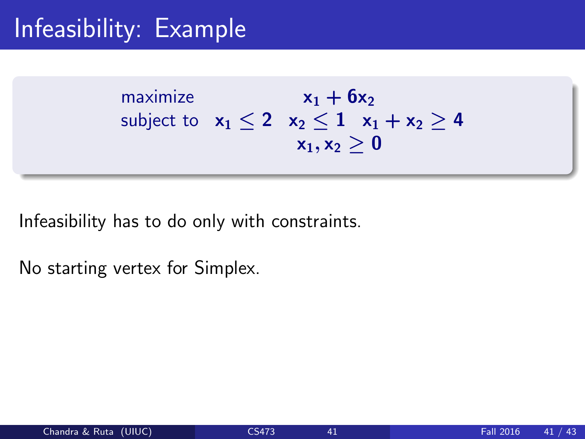# Infeasibility: Example

maximize  $x_1 + 6x_2$ subject to  $x_1 < 2$   $x_2 < 1$   $x_1 + x_2 > 4$  $x_1, x_2 > 0$ 

Infeasibility has to do only with constraints.

No starting vertex for Simplex.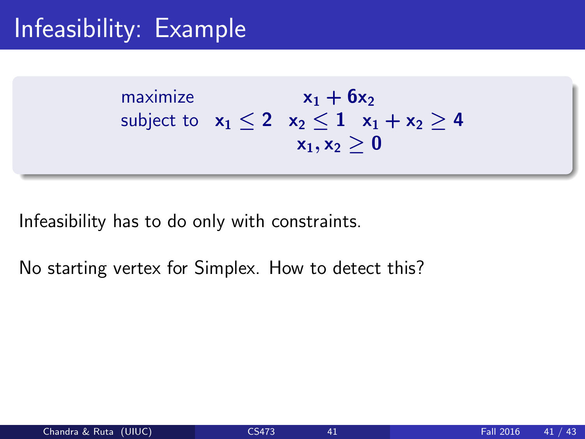# Infeasibility: Example

maximize  $x_1 + 6x_2$ subject to  $x_1 < 2$   $x_2 < 1$   $x_1 + x_2 > 4$  $x_1, x_2 > 0$ 

Infeasibility has to do only with constraints.

No starting vertex for Simplex. How to detect this?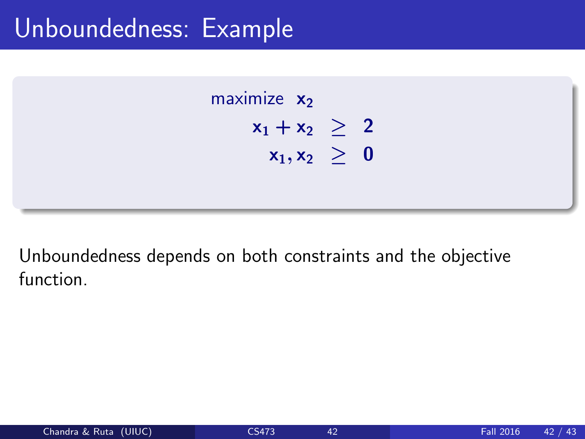#### Unboundedness: Example



Unboundedness depends on both constraints and the objective function.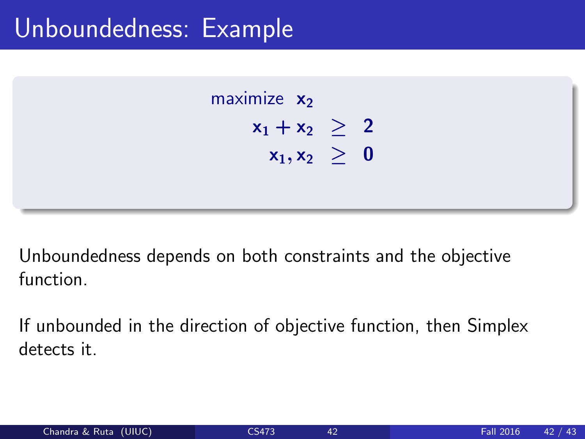#### Unboundedness: Example



Unboundedness depends on both constraints and the objective function.

If unbounded in the direction of objective function, then Simplex detects it.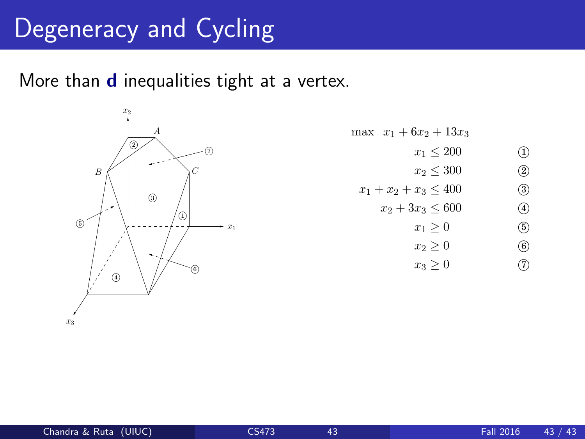## Degeneracy and Cycling

More than **d** inequalities tight at a vertex.



max  $x_1 + 6x_2 + 13x_3$  $x_1 \le 200$  (1)<br>  $x_2 \le 300$  (2)  $x_2 \le 300$  (2)<br>  $x_3 \le 400$  (3)  $x_1 + x_2 + x_3 \le 400$  (3)<br> $x_2 + 3x_3 \le 600$  (4)  $x_2 + 3x_3 \le 600$  (4)<br> $x_1 \ge 0$  (5)  $x_1 \ge 0$  (5)<br>  $x_2 \ge 0$  (6)  $x_2 \ge 0$  (6)<br>  $x_3 \ge 0$  (7)  $x_3 \geq 0$ 

S. Dasgupta, C.H. Papadimitriou, and U.V. Vazirani 227